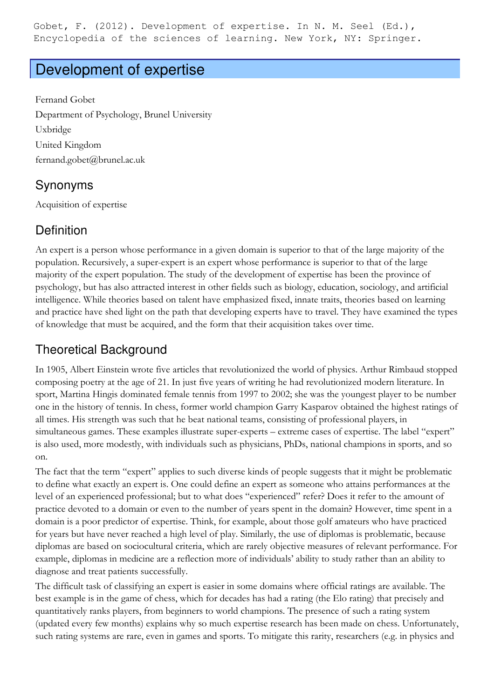Gobet, F. (2012). Development of expertise. In N. M. Seel (Ed.), Encyclopedia of the sciences of learning. New York, NY: Springer.

# Development of expertise

Fernand Gobet Department of Psychology, Brunel University Uxbridge United Kingdom fernand.gobet@brunel.ac.uk

# Synonyms

Acquisition of expertise

### **Definition**

An expert is a person whose performance in a given domain is superior to that of the large majority of the population. Recursively, a super-expert is an expert whose performance is superior to that of the large majority of the expert population. The study of the development of expertise has been the province of psychology, but has also attracted interest in other fields such as biology, education, sociology, and artificial intelligence. While theories based on talent have emphasized fixed, innate traits, theories based on learning and practice have shed light on the path that developing experts have to travel. They have examined the types of knowledge that must be acquired, and the form that their acquisition takes over time.

### Theoretical Background

In 1905, Albert Einstein wrote five articles that revolutionized the world of physics. Arthur Rimbaud stopped composing poetry at the age of 21. In just five years of writing he had revolutionized modern literature. In sport, Martina Hingis dominated female tennis from 1997 to 2002; she was the youngest player to be number one in the history of tennis. In chess, former world champion Garry Kasparov obtained the highest ratings of all times. His strength was such that he beat national teams, consisting of professional players, in simultaneous games. These examples illustrate super-experts – extreme cases of expertise. The label "expert" is also used, more modestly, with individuals such as physicians, PhDs, national champions in sports, and so on.

The fact that the term "expert" applies to such diverse kinds of people suggests that it might be problematic to define what exactly an expert is. One could define an expert as someone who attains performances at the level of an experienced professional; but to what does "experienced" refer? Does it refer to the amount of practice devoted to a domain or even to the number of years spent in the domain? However, time spent in a domain is a poor predictor of expertise. Think, for example, about those golf amateurs who have practiced for years but have never reached a high level of play. Similarly, the use of diplomas is problematic, because diplomas are based on sociocultural criteria, which are rarely objective measures of relevant performance. For example, diplomas in medicine are a reflection more of individuals' ability to study rather than an ability to diagnose and treat patients successfully.

The difficult task of classifying an expert is easier in some domains where official ratings are available. The best example is in the game of chess, which for decades has had a rating (the Elo rating) that precisely and quantitatively ranks players, from beginners to world champions. The presence of such a rating system (updated every few months) explains why so much expertise research has been made on chess. Unfortunately, such rating systems are rare, even in games and sports. To mitigate this rarity, researchers (e.g. in physics and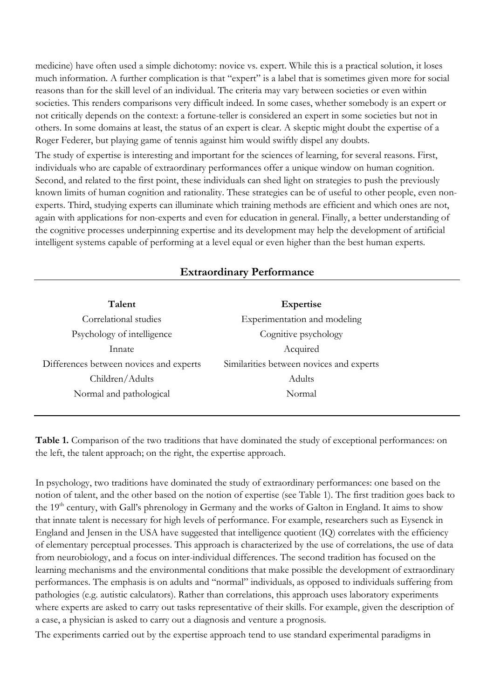medicine) have often used a simple dichotomy: novice vs. expert. While this is a practical solution, it loses much information. A further complication is that "expert" is a label that is sometimes given more for social reasons than for the skill level of an individual. The criteria may vary between societies or even within societies. This renders comparisons very difficult indeed. In some cases, whether somebody is an expert or not critically depends on the context: a fortune-teller is considered an expert in some societies but not in others. In some domains at least, the status of an expert is clear. A skeptic might doubt the expertise of a Roger Federer, but playing game of tennis against him would swiftly dispel any doubts.

The study of expertise is interesting and important for the sciences of learning, for several reasons. First, individuals who are capable of extraordinary performances offer a unique window on human cognition. Second, and related to the first point, these individuals can shed light on strategies to push the previously known limits of human cognition and rationality. These strategies can be of useful to other people, even nonexperts. Third, studying experts can illuminate which training methods are efficient and which ones are not, again with applications for non-experts and even for education in general. Finally, a better understanding of the cognitive processes underpinning expertise and its development may help the development of artificial intelligent systems capable of performing at a level equal or even higher than the best human experts.

| Talent                                  | Expertise                                |
|-----------------------------------------|------------------------------------------|
| Correlational studies                   | Experimentation and modeling             |
| Psychology of intelligence              | Cognitive psychology                     |
| Innate                                  | Acquired                                 |
| Differences between novices and experts | Similarities between novices and experts |
| Children/Adults                         | Adults                                   |
| Normal and pathological                 | Normal                                   |
|                                         |                                          |

#### Extraordinary Performance

Table 1. Comparison of the two traditions that have dominated the study of exceptional performances: on the left, the talent approach; on the right, the expertise approach.

In psychology, two traditions have dominated the study of extraordinary performances: one based on the notion of talent, and the other based on the notion of expertise (see Table 1). The first tradition goes back to the 19<sup>th</sup> century, with Gall's phrenology in Germany and the works of Galton in England. It aims to show that innate talent is necessary for high levels of performance. For example, researchers such as Eysenck in England and Jensen in the USA have suggested that intelligence quotient (IQ) correlates with the efficiency of elementary perceptual processes. This approach is characterized by the use of correlations, the use of data from neurobiology, and a focus on inter-individual differences. The second tradition has focused on the learning mechanisms and the environmental conditions that make possible the development of extraordinary performances. The emphasis is on adults and "normal" individuals, as opposed to individuals suffering from pathologies (e.g. autistic calculators). Rather than correlations, this approach uses laboratory experiments where experts are asked to carry out tasks representative of their skills. For example, given the description of a case, a physician is asked to carry out a diagnosis and venture a prognosis.

The experiments carried out by the expertise approach tend to use standard experimental paradigms in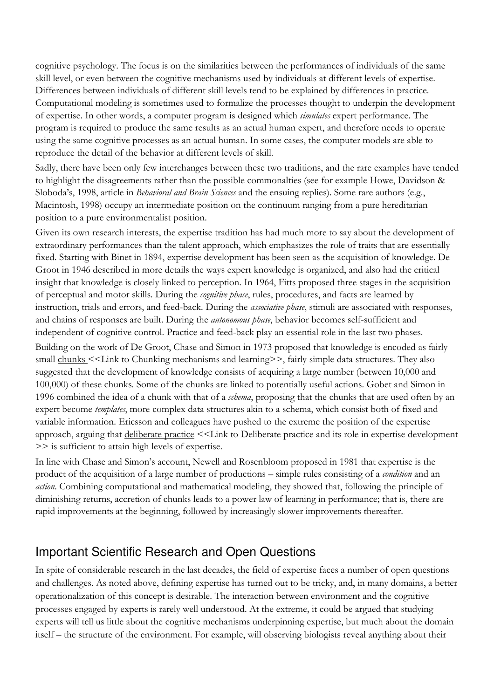cognitive psychology. The focus is on the similarities between the performances of individuals of the same skill level, or even between the cognitive mechanisms used by individuals at different levels of expertise. Differences between individuals of different skill levels tend to be explained by differences in practice. Computational modeling is sometimes used to formalize the processes thought to underpin the development of expertise. In other words, a computer program is designed which simulates expert performance. The program is required to produce the same results as an actual human expert, and therefore needs to operate using the same cognitive processes as an actual human. In some cases, the computer models are able to reproduce the detail of the behavior at different levels of skill.

Sadly, there have been only few interchanges between these two traditions, and the rare examples have tended to highlight the disagreements rather than the possible commonalties (see for example Howe, Davidson & Sloboda's, 1998, article in Behavioral and Brain Sciences and the ensuing replies). Some rare authors (e.g., Macintosh, 1998) occupy an intermediate position on the continuum ranging from a pure hereditarian position to a pure environmentalist position.

Given its own research interests, the expertise tradition has had much more to say about the development of extraordinary performances than the talent approach, which emphasizes the role of traits that are essentially fixed. Starting with Binet in 1894, expertise development has been seen as the acquisition of knowledge. De Groot in 1946 described in more details the ways expert knowledge is organized, and also had the critical insight that knowledge is closely linked to perception. In 1964, Fitts proposed three stages in the acquisition of perceptual and motor skills. During the cognitive phase, rules, procedures, and facts are learned by instruction, trials and errors, and feed-back. During the *associative phase*, stimuli are associated with responses, and chains of responses are built. During the autonomous phase, behavior becomes self-sufficient and independent of cognitive control. Practice and feed-back play an essential role in the last two phases. Building on the work of De Groot, Chase and Simon in 1973 proposed that knowledge is encoded as fairly small chunks  $\leq$ Link to Chunking mechanisms and learning >>, fairly simple data structures. They also suggested that the development of knowledge consists of acquiring a large number (between 10,000 and 100,000) of these chunks. Some of the chunks are linked to potentially useful actions. Gobet and Simon in 1996 combined the idea of a chunk with that of a *schema*, proposing that the chunks that are used often by an expert become templates, more complex data structures akin to a schema, which consist both of fixed and variable information. Ericsson and colleagues have pushed to the extreme the position of the expertise approach, arguing that deliberate practice <<Link to Deliberate practice and its role in expertise development >> is sufficient to attain high levels of expertise.

In line with Chase and Simon's account, Newell and Rosenbloom proposed in 1981 that expertise is the product of the acquisition of a large number of productions – simple rules consisting of a condition and an action. Combining computational and mathematical modeling, they showed that, following the principle of diminishing returns, accretion of chunks leads to a power law of learning in performance; that is, there are rapid improvements at the beginning, followed by increasingly slower improvements thereafter.

### Important Scientific Research and Open Questions

In spite of considerable research in the last decades, the field of expertise faces a number of open questions and challenges. As noted above, defining expertise has turned out to be tricky, and, in many domains, a better operationalization of this concept is desirable. The interaction between environment and the cognitive processes engaged by experts is rarely well understood. At the extreme, it could be argued that studying experts will tell us little about the cognitive mechanisms underpinning expertise, but much about the domain itself – the structure of the environment. For example, will observing biologists reveal anything about their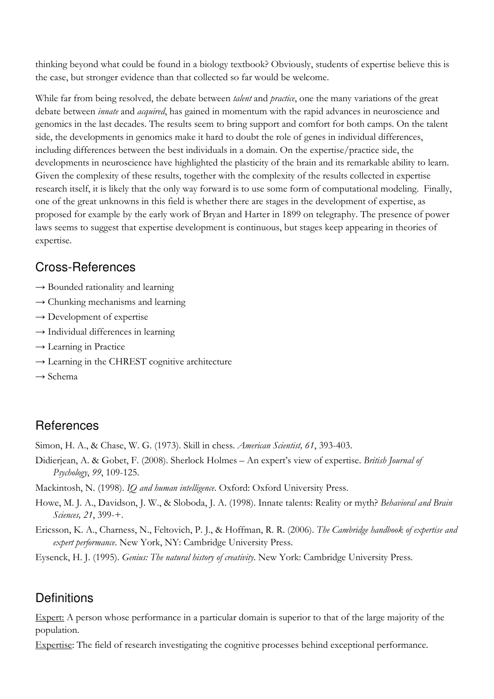thinking beyond what could be found in a biology textbook? Obviously, students of expertise believe this is the case, but stronger evidence than that collected so far would be welcome.

While far from being resolved, the debate between *talent* and *practice*, one the many variations of the great debate between *innate* and *acquired*, has gained in momentum with the rapid advances in neuroscience and genomics in the last decades. The results seem to bring support and comfort for both camps. On the talent side, the developments in genomics make it hard to doubt the role of genes in individual differences, including differences between the best individuals in a domain. On the expertise/practice side, the developments in neuroscience have highlighted the plasticity of the brain and its remarkable ability to learn. Given the complexity of these results, together with the complexity of the results collected in expertise research itself, it is likely that the only way forward is to use some form of computational modeling. Finally, one of the great unknowns in this field is whether there are stages in the development of expertise, as proposed for example by the early work of Bryan and Harter in 1899 on telegraphy. The presence of power laws seems to suggest that expertise development is continuous, but stages keep appearing in theories of expertise.

### Cross-References

- $\rightarrow$  Bounded rationality and learning
- $\rightarrow$  Chunking mechanisms and learning
- $\rightarrow$  Development of expertise
- $\rightarrow$  Individual differences in learning
- $\rightarrow$  Learning in Practice
- $\rightarrow$  Learning in the CHREST cognitive architecture
- $\rightarrow$  Schema

# References

Simon, H. A., & Chase, W. G. (1973). Skill in chess. American Scientist, 61, 393-403.

- Didierjean, A. & Gobet, F. (2008). Sherlock Holmes An expert's view of expertise. British Journal of Psychology, 99, 109-125.
- Mackintosh, N. (1998). IO and human intelligence. Oxford: Oxford University Press.
- Howe, M. J. A., Davidson, J. W., & Sloboda, J. A. (1998). Innate talents: Reality or myth? Behavioral and Brain Sciences, 21, 399-+.
- Ericsson, K. A., Charness, N., Feltovich, P. J., & Hoffman, R. R. (2006). The Cambridge handbook of expertise and expert performance. New York, NY: Cambridge University Press.
- Eysenck, H. J. (1995). Genius: The natural history of creativity. New York: Cambridge University Press.

# **Definitions**

Expert: A person whose performance in a particular domain is superior to that of the large majority of the population.

Expertise: The field of research investigating the cognitive processes behind exceptional performance.